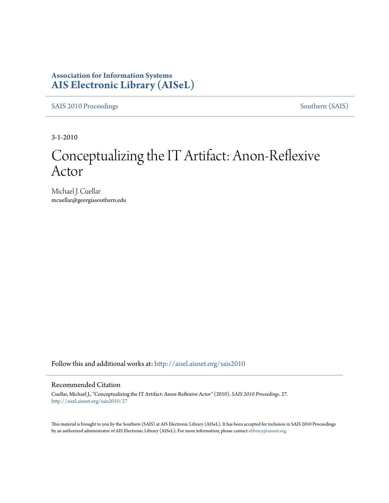### **Association for Information Systems [AIS Electronic Library \(AISeL\)](http://aisel.aisnet.org?utm_source=aisel.aisnet.org%2Fsais2010%2F27&utm_medium=PDF&utm_campaign=PDFCoverPages)**

[SAIS 2010 Proceedings](http://aisel.aisnet.org/sais2010?utm_source=aisel.aisnet.org%2Fsais2010%2F27&utm_medium=PDF&utm_campaign=PDFCoverPages) [Southern \(SAIS\)](http://aisel.aisnet.org/sais?utm_source=aisel.aisnet.org%2Fsais2010%2F27&utm_medium=PDF&utm_campaign=PDFCoverPages)

3-1-2010

# Conceptualizing the IT Artifact: Anon-Reflexive Actor

Michael J. Cuellar mcuellar@georgiasouthern.edu

Follow this and additional works at: [http://aisel.aisnet.org/sais2010](http://aisel.aisnet.org/sais2010?utm_source=aisel.aisnet.org%2Fsais2010%2F27&utm_medium=PDF&utm_campaign=PDFCoverPages)

#### Recommended Citation

Cuellar, Michael J., "Conceptualizing the IT Artifact: Anon-Reflexive Actor" (2010). *SAIS 2010 Proceedings*. 27. [http://aisel.aisnet.org/sais2010/27](http://aisel.aisnet.org/sais2010/27?utm_source=aisel.aisnet.org%2Fsais2010%2F27&utm_medium=PDF&utm_campaign=PDFCoverPages)

This material is brought to you by the Southern (SAIS) at AIS Electronic Library (AISeL). It has been accepted for inclusion in SAIS 2010 Proceedings by an authorized administrator of AIS Electronic Library (AISeL). For more information, please contact [elibrary@aisnet.org](mailto:elibrary@aisnet.org%3E).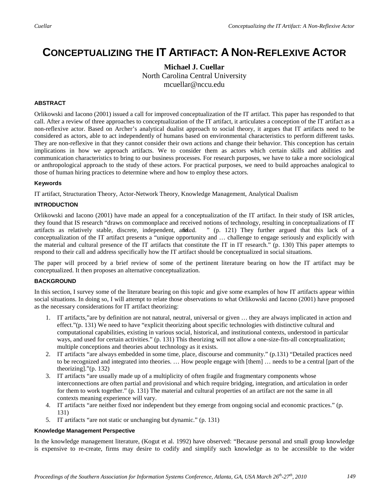## **CONCEPTUALIZING THE IT ARTIFACT: A NON-REFLEXIVE ACTOR**

**Michael J. Cuellar** North Carolina Central University mcuellar@nccu.edu

#### **ABSTRACT**

Orlikowski and Iacono (2001) issued a call for improved conceptualization of the IT artifact. This paper has responded to that call. After a review of three approaches to conceptualization of the IT artifact, it articulates a conception of the IT artifact as a non-reflexive actor. Based on Archer's analytical dualist approach to social theory, it argues that IT artifacts need to be considered as actors, able to act independently of humans based on environmental characteristics to perform different tasks. They are non-reflexive in that they cannot consider their own actions and change their behavior. This conception has certain implications in how we approach artifacts. We to consider them as actors which certain skills and abilities and communication characteristics to bring to our business processes. For research purposes, we have to take a more sociological or anthropological approach to the study of these actors. For practical purposes, we need to build approaches analogical to those of human hiring practices to determine where and how to employ these actors.

#### **Keywords**

IT artifact, Structuration Theory, Actor-Network Theory, Knowledge Management, Analytical Dualism

#### **INTRODUCTION**

Orlikowski and Iacono (2001) have made an appeal for a conceptualization of the IT artifact. In their study of ISR articles, they found that IS research "draws on commonplace and received notions of technology, resulting in conceptualizations of IT artifacts as relatively stable, discrete, independent, and ded. " (p. 121) They further argued tha artifacts as relatively stable, discrete, independent, and fixed. conceptualization of the IT artifact presents a "unique opportunity and … challenge to engage seriously and explicitly with the material and cultural presence of the IT artifacts that constitute the IT in IT research." (p. 130) This paper attempts to respond to their call and address specifically how the IT artifact should be conceptualized in social situations.

The paper will proceed by a brief review of some of the pertinent literature bearing on how the IT artifact may be conceptualized. It then proposes an alternative conceptualization.

#### **BACKGROUND**

In this section, I survey some of the literature bearing on this topic and give some examples of how IT artifacts appear within social situations. In doing so, I will attempt to relate those observations to what Orlikowski and Iacono (2001) have proposed as the necessary considerations for IT artifact theorizing:

- 1. IT artifacts,"are by definition are not natural, neutral, universal or given … they are always implicated in action and effect."(p. 131) We need to have "explicit theorizing about specific technologies with distinctive cultural and computational capabilities, existing in various social, historical, and institutional contexts, understood in particular ways, and used for certain activities." (p. 131) This theorizing will not allow a one-size-fits-all conceptualization; multiple conceptions and theories about technology as it exists.
- 2. IT artifacts "are always embedded in some time, place, discourse and community." (p.131) "Detailed practices need to be recognized and integrated into theories. … How people engage with [them] … needs to be a central [part of the theorizing]."(p. 132)
- 3. IT artifacts "are usually made up of a multiplicity of often fragile and fragmentary components whose interconnections are often partial and provisional and which require bridging, integration, and articulation in order for them to work together." (p. 131) The material and cultural properties of an artifact are not the same in all contexts meaning experience will vary.
- 4. IT artifacts "are neither fixed nor independent but they emerge from ongoing social and economic practices." (p. 131)
- 5. IT artifacts "are not static or unchanging but dynamic." (p. 131)

#### **Knowledge Management Perspective**

In the knowledge management literature, (Kogut et al. 1992) have observed: "Because personal and small group knowledge is expensive to re-create, firms may desire to codify and simplify such knowledge as to be accessible to the wider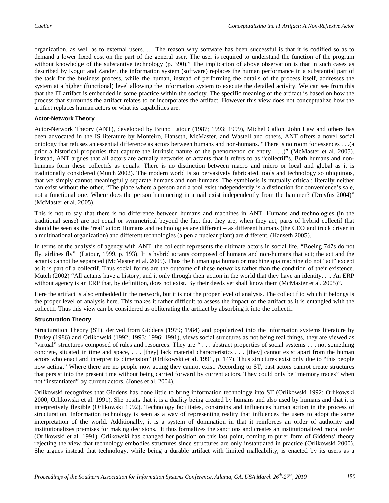organization, as well as to external users. … The reason why software has been successful is that it is codified so as to demand a lower fixed cost on the part of the general user. The user is required to understand the function of the program without knowledge of the substantive technology (p. 390)." The implication of above observation is that in such cases as described by Kogut and Zander, the information system (software) replaces the human performance in a substantial part of the task for the business process, while the human, instead of performing the details of the process itself, addresses the system at a higher (functional) level allowing the information system to execute the detailed activity. We can see from this that the IT artifact is embedded in some practice within the society. The specific meaning of the artifact is based on how the process that surrounds the artifact relates to or incorporates the artifact. However this view does not conceptualize how the artifact replaces human actors or what its capabilities are.

#### **Actor-Network Theory**

Actor-Network Theory (ANT), developed by Bruno Latour (1987; 1993; 1999), Michel Callon, John Law and others has been advocated in the IS literature by Monteiro, Hanseth, McMaster, and Wastell and others, ANT offers a novel social ontology that refuses an essential difference as actors between humans and non-humans. "There is no room for essences . . .(a prior a historical properties that capture the intrinsic nature of the phenomenon or entity . . .)" (McMaster et al. 2005). Instead, ANT argues that all actors are actually networks of actants that it refers to as "collectif"s. Both humans and nonhumans form these collectifs as equals. There is no distinction between macro and micro or local and global as it is traditionally considered (Mutch 2002). The modern world is so pervasively fabricated, tools and technology so ubiquitous, that we simply cannot meaningfully separate humans and non-humans. The symbiosis is mutually critical; literally neither can exist without the other. "The place where a person and a tool exist independently is a distinction for convenience's sale, not a functional one. Where does the person hammering in a nail exist independently from the hammer? (Dreyfus 2004)" (McMaster et al. 2005).

This is not to say that there is no difference between humans and machines in ANT. Humans and technologies (in the traditional sense) are not equal or symmetrical beyond the fact that they are, when they act, parts of hybrid collectif that should be seen as the 'real' actor: Humans and technologies are different – as different humans (the CEO and truck driver in a multinational organization) and different technologies (a pen a nuclear plant) are different. (Hanseth 2005).

In terms of the analysis of agency with ANT, the collectif represents the ultimate actors in social life. "Boeing 747s do not fly, airlines fly" (Latour, 1999, p. 193). It is hybrid actants composed of humans and non-humans that act; the act and the actants cannot be separated (McMaster et al. 2005). Thus the human qua human or machine qua machine do not "act" except as it is part of a collectif. Thus social forms are the outcome of these networks rather than the condition of their existence. Mutch (2002) "All actants have a history, and it only through their action in the world that they have an identity. . .. An ERP without agency is an ERP that, by definition, does not exist. By their deeds yet shall know them (McMaster et al. 2005)".

Here the artifact is also embedded in the network, but it is not the proper level of analysis. The collectif to which it belongs is the proper level of analysis here. This makes it rather difficult to assess the impact of the artifact as it is entangled with the collectif. Thus this view can be considered as obliterating the artifact by absorbing it into the collectif.

#### **Structuration Theory**

Structuration Theory (ST), derived from Giddens (1979; 1984) and popularized into the information systems literature by Barley (1986) and Orlikowski (1992; 1993; 1996; 1991), views social structures as not being real things, they are viewed as "virtual" structures composed of rules and resources. They are " . . . abstract properties of social systems . . . not something concrete, situated in time and space, . . . [they] lack material characteristics . . . [they] cannot exist apart from the human actors who enact and interpret its dimension" (Orlikowski et al. 1991, p. 147). Thus structures exist only due to "this people now acting." Where there are no people now acting they cannot exist. According to ST, past actors cannot create structures that persist into the present time without being carried forward by current actors. They could only be "memory traces" when not "instantiated" by current actors. (Jones et al. 2004).

Orlikowski recognizes that Giddens has done little to bring information technology into ST (Orlikowski 1992; Orlikowski 2000; Orlikowski et al. 1991). She posits that it is a duality being created by humans and also used by humans and that it is interpretively flexible (Orlikowski 1992). Technology facilitates, constrains and influences human action in the process of structuration. Information technology is seen as a way of representing reality that influences the users to adopt the same interpretation of the world. Additionally, it is a system of domination in that it reinforces an order of authority and institutionalizes premises for making decisions. It thus formalizes the sanctions and creates an institutionalized moral order (Orlikowski et al. 1991). Orlikowski has changed her position on this last point, coming to purer form of Giddens' theory rejecting the view that technology embodies structures since structures are only instantiated in practice (Orlikowski 2000). She argues instead that technology, while being a durable artifact with limited malleability, is enacted by its users as a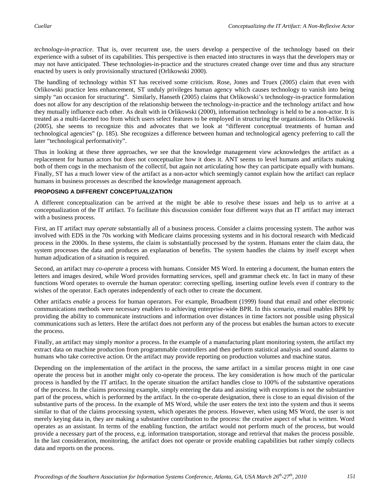*technology-in-practice*. That is, over recurrent use, the users develop a perspective of the technology based on their experience with a subset of its capabilities. This perspective is then enacted into structures in ways that the developers may or may not have anticipated. These technologies-in-practice and the structures created change over time and thus any structure enacted by users is only provisionally structured (Orlikowski 2000).

The handling of technology within ST has received some criticism. Rose, Jones and Truex (2005) claim that even with Orlikowski practice lens enhancement, ST unduly privileges human agency which causes technology to vanish into being simply "an occasion for structuring". Similarly, Hanseth (2005) claims that Orlikowski's technology-in-practice formulation does not allow for any description of the relationship between the technology-in-practice and the technology artifact and how they mutually influence each other. As dealt with in Orlikowski (2000), information technology is held to be a non-actor. It is treated as a multi-faceted too from which users select features to be employed in structuring the organizations. In Orlikowski (2005), she seems to recognize this and advocates that we look at "different conceptual treatments of human and technological agencies" (p. 185). She recognizes a difference between human and technological agency preferring to call the later "technological performativity".

Thus in looking at these three approaches, we see that the knowledge management view acknowledges the artifact as a replacement for human actors but does not conceptualize how it does it. ANT seems to level humans and artifacts making both of them cogs in the mechanism of the collectif, but again not articulating how they can participate equally with humans. Finally, ST has a much lower view of the artifact as a non-actor which seemingly cannot explain how the artifact can replace humans in business processes as described the knowledge management approach.

#### **PROPOSING A DIFFERENT CONCEPTUALIZATION**

A different conceptualization can be arrived at the might be able to resolve these issues and help us to arrive at a conceptualization of the IT artifact. To facilitate this discussion consider four different ways that an IT artifact may interact with a business process.

First, an IT artifact may *operate* substantially all of a business process. Consider a claims processing system. The author was involved with EDS in the 70s working with Medicare claims processing systems and in his doctoral research with Medicaid process in the 2000s. In these systems, the claim is substantially processed by the system. Humans enter the claim data, the system processes the data and produces an explanation of benefits. The system handles the claims by itself except when human adjudication of a situation is required.

Second, an artifact may *co-operate* a process with humans. Consider MS Word. In entering a document, the human enters the letters and images desired, while Word provides formatting services, spell and grammar check etc. In fact in many of these functions Word operates to overrule the human operator: correcting spelling, inserting outline levels even if contrary to the wishes of the operator. Each operates independently of each other to create the document.

Other artifacts *enable* a process for human operators. For example, Broadbent (1999) found that email and other electronic communications methods were necessary enablers to achieving enterprise-wide BPR. In this scenario, email enables BPR by providing the ability to communicate instructions and information over distances in time factors not possible using physical communications such as letters. Here the artifact does not perform any of the process but enables the human actors to execute the process.

Finally, an artifact may simply *monitor* a process. In the example of a manufacturing plant monitoring system, the artifact my extract data on machine production from programmable controllers and then perform statistical analysis and sound alarms to humans who take corrective action. Or the artifact may provide reporting on production volumes and machine status.

Depending on the implementation of the artifact in the process, the same artifact in a similar process might in one case operate the process but in another might only co-operate the process. The key consideration is how much of the particular process is handled by the IT artifact. In the operate situation the artifact handles close to 100% of the substantive operations of the process. In the claims processing example, simply entering the data and assisting with exceptions is not the substantive part of the process, which is performed by the artifact. In the co-operate designation, there is close to an equal division of the substantive parts of the process. In the example of MS Word, while the user enters the text into the system and thus it seems similar to that of the claims processing system, which operates the process. However, when using MS Word, the user is not merely keying data in, they are making a substantive contribution to the process: the creative aspect of what is written. Word operates as an assistant. In terms of the enabling function, the artifact would not perform much of the process, but would provide a necessary part of the process, e.g. information transportation, storage and retrieval that makes the process possible. In the last consideration, monitoring, the artifact does not operate or provide enabling capabilities but rather simply collects data and reports on the process.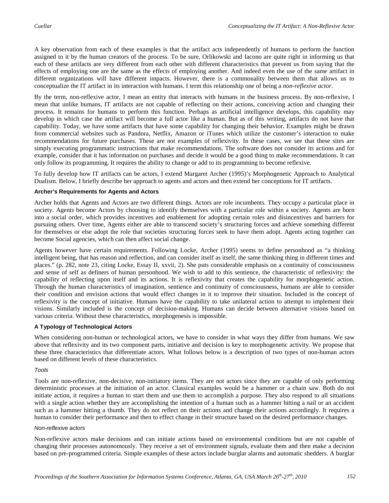A key observation from each of these examples is that the artifact acts independently of humans to perform the function assigned to it by the human creators of the process. To be sure, Orlikowski and Iacono are quite right in informing us that each of these artifacts are very different from each other with different characteristics that prevent us from saying that the effects of employing one are the same as the effects of employing another. And indeed even the use of the same artifact in different organizations will have different impacts. However, there is a commonality between them that allows us to conceptualize the IT artifact in its interaction with humans. I term this relationship one of being a *non-reflexive actor*.

By the term, non-reflexive actor, I mean an entity that interacts with humans in the business process. By non-reflexive, I mean that unlike humans, IT artifacts are not capable of reflecting on their actions, conceiving action and changing their process. It remains for humans to perform this function. Perhaps as artificial intelligence develops, this capability may develop in which case the artifact will become a full actor like a human. But as of this writing, artifacts do not have that capability. Today, we have some artifacts that have some capability for changing their behavior. Examples might be drawn from commercial websites such as Pandora, Netflix, Amazon or iTunes which utilize the customer's interaction to make recommendations for future purchases. These are not examples of reflexivity. In these cases, we see that these sites are simply executing programmatic instructions that make recommendations. The software does not consider its actions and for example, consider that it has information on purchases and decide it would be a good thing to make recommendations. It can only follow its programming. It requires the ability to change or add to its programming to become reflexive.

To fully develop how IT artifacts can be actors, I extend Margaret Archer (1995)'s Morphogenetic Approach to Analytical Dualism. Below, I briefly describe her approach to agents and actors and then extend her conceptions for IT artifacts.

#### **Archer's Requirements for Agents and Actors**

Archer holds that Agents and Actors are two different things. Actors are role incumbents. They occupy a particular place in society. Agents become Actors by choosing to identify themselves with a particular role within a society. Agents are born into a social order, which provides incentives and enablement for adopting certain roles and disincentives and barriers for pursuing others. Over time, Agents either are able to transcend society's structuring forces and achieve something different for themselves or else adopt the role that societies structuring forces seek to have them adopt. Agents acting together can become Social agencies, which can then affect social change.

Agents however have certain requirements. Following Locke, Archer (1995) seems to define personhood as "a thinking intelligent being, that has reason and reflection, and can consider itself as itself, the same thinking thing in different times and places." (p. 282, note 23, citing Locke, Essay II, xxvii, 2). She puts considerable emphasis on a continuity of consciousness and sense of self as definers of human personhood. We wish to add to this sentience, the characteristic of reflexivity: the capability of reflecting upon itself and its actions. It is reflexivity that creates the capability for morphogenetic action. Through the human characteristics of imagination, sentience and continuity of consciousness, humans are able to consider their condition and envision actions that would effect changes in it to improve their situation. Included in the concept of reflexivity is the concept of initiative. Humans have the capability to take unilateral action to attempt to implement their visions. Similarly included is the concept of decision-making. Humans can decide between alternative visions based on various criteria. Without these characteristics, morphogenesis is impossible.

#### **A Typology of Technological Actors**

When considering non-human or technological actors, we have to consider in what ways they differ from humans. We saw above that reflexivity and its two component parts, initiative and decision is key to morphogenetic activity. We propose that these three characteristics that differentiate actors. What follows below is a description of two types of non-human actors based on different levels of these characteristics.

#### *Tools*

Tools are non-reflexive, non-decisive, non-initiatory items. They are not actors since they are capable of only performing deterministic processes at the initiation of an actor. Classical examples would be a hammer or a chain saw. Both do not initiate action, it requires a human to start them and use them to accomplish a purpose. They also respond to all situations with a single action whether they are accomplishing the intention of a human such as a hammer hitting a nail or an accident such as a hammer hitting a thumb. They do not reflect on their actions and change their actions accordingly. It requires a human to consider their performance and then to effect change in their structure based on the desired performance changes.

#### *Non-reflexive actors*

Non-reflexive actors make decisions and can initiate actions based on environmental conditions but are not capable of changing their processes autonomously. They receive a set of environment signals, evaluate them and then make a decision based on pre-programmed criteria. Simple examples of these actors include burglar alarms and automatic shedders. A burglar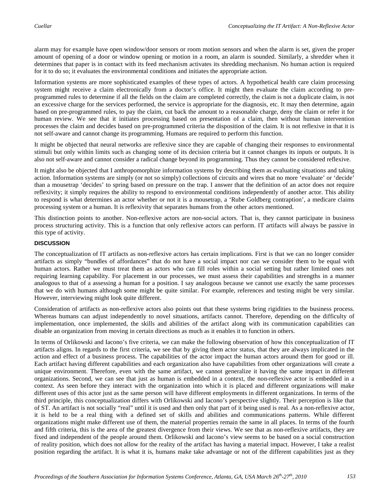alarm may for example have open window/door sensors or room motion sensors and when the alarm is set, given the proper amount of opening of a door or window opening or motion in a room, an alarm is sounded. Similarly, a shredder when it determines that paper is in contact with its feed mechanism activates its shredding mechanism. No human action is required for it to do so; it evaluates the environmental conditions and initiates the appropriate action.

Information systems are more sophisticated examples of these types of actors. A hypothetical health care claim processing system might receive a claim electronically from a doctor's office. It might then evaluate the claim according to preprogrammed rules to determine if all the fields on the claim are completed correctly, the claim is not a duplicate claim, is not an excessive charge for the services performed, the service is appropriate for the diagnosis, etc. It may then determine, again based on pre-programmed rules, to pay the claim, cut back the amount to a reasonable charge, deny the claim or refer it for human review. We see that it initiates processing based on presentation of a claim, then without human intervention processes the claim and decides based on pre-programmed criteria the disposition of the claim. It is not reflexive in that it is not self-aware and cannot change its programming. Humans are required to perform this function.

It might be objected that neural networks are reflexive since they are capable of changing their responses to environmental stimuli but only within limits such as changing some of its decision criteria but it cannot changes its inputs or outputs. It is also not self-aware and cannot consider a radical change beyond its programming. Thus they cannot be considered reflexive.

It might also be objected that I anthropomorphize information systems by describing them as evaluating situations and taking action. Information systems are simply (or not so simply) collections of circuits and wires that no more 'evaluate' or 'decide' than a mousetrap 'decides' to spring based on pressure on the trap. I answer that the definition of an actor does not require reflexivity; it simply requires the ability to respond to environmental conditions independently of another actor. This ability to respond is what determines an actor whether or not it is a mousetrap, a 'Rube Goldberg contraption', a medicare claims processing system or a human. It is reflexivity that separates humans from the other actors mentioned.

This distinction points to another. Non-reflexive actors are non-social actors. That is, they cannot participate in business process structuring activity. This is a function that only reflexive actors can perform. IT artifacts will always be passive in this type of activity.

#### **DISCUSSION**

The conceptualization of IT artifacts as non-reflexive actors has certain implications. First is that we can no longer consider artifacts as simply "bundles of affordances" that do not have a social impact nor can we consider them to be equal with human actors. Rather we must treat them as actors who can fill roles within a social setting but rather limited ones not requiring learning capability. For placement in our processes, we must assess their capabilities and strengths in a manner analogous to that of a assessing a human for a position. I say analogous because we cannot use exactly the same processes that we do with humans although some might be quite similar. For example, references and testing might be very similar. However, interviewing might look quite different.

Consideration of artifacts as non-reflexive actors also points out that these systems bring rigidities to the business process. Whereas humans can adjust independently to novel situations, artifacts cannot. Therefore, depending on the difficulty of implementation, once implemented, the skills and abilities of the artifact along with its communication capabilities can disable an organization from moving in certain directions as much as it enables it to function in others.

In terms of Orlikowski and Iacono's five criteria, we can make the following observation of how this conceptualization of IT artifacts aligns. In regards to the first criteria, we see that by giving them actor status, that they are always implicated in the action and effect of a business process. The capabilities of the actor impact the human actors around them for good or ill. Each artifact having different capabilities and each organization also have capabilities from other organizations will create a unique environment. Therefore, even with the same artifact, we cannot generalize it having the same impact in different organizations. Second, we can see that just as human is embedded in a context, the non-reflexive actor is embedded in a context. As seen before they interact with the organization into which it is placed and different organizations will make different uses of this actor just as the same person will have different employments in different organizations. In terms of the third principle, this conceptualization differs with Orlikowski and Iacono's perspective slightly. Their perception is like that of ST. An artifact is not socially "real" until it is used and then only that part of it being used is real. As a non-reflexive actor, it is held to be a real thing with a defined set of skills and abilities and communications patterns. While different organizations might make different use of them, the material properties remain the same in all places. In terms of the fourth and fifth criteria, this is the area of the greatest divergence from their views. We see that as non-reflexive artifacts, they are fixed and independent of the people around them. Orlikowski and Iacono's view seems to be based on a social construction of reality position, which does not allow for the reality of the artifact has having a material impact. However, I take a realist position regarding the artifact. It is what it is, humans make take advantage or not of the different capabilities just as they